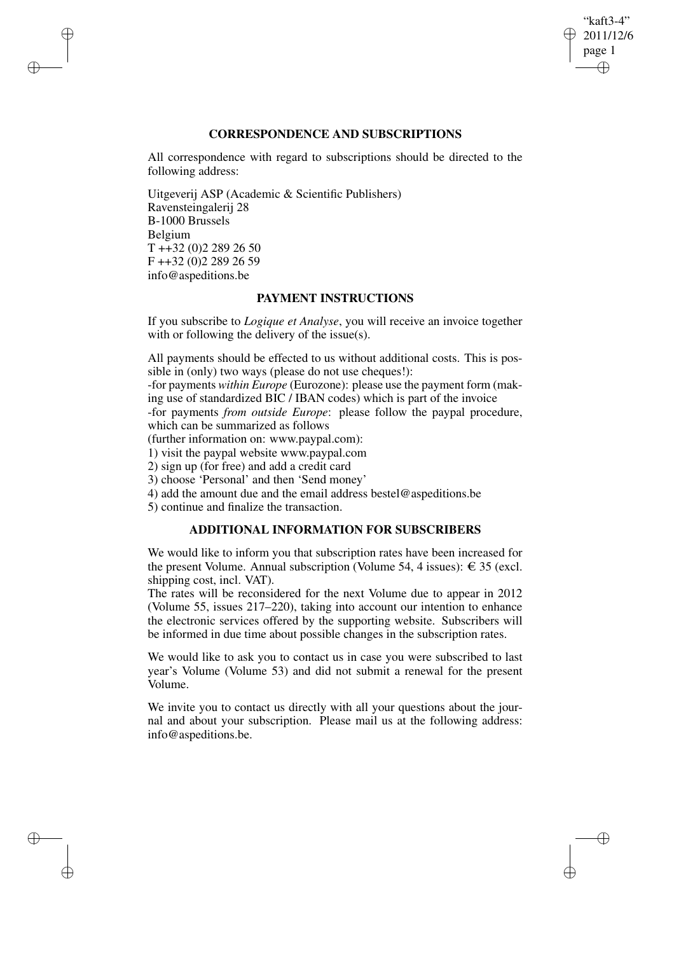# "kaft3-4" 2011/12/6 page 1 ✐ ✐

✐

✐

# **CORRESPONDENCE AND SUBSCRIPTIONS**

All correspondence with regard to subscriptions should be directed to the following address:

Uitgeverij ASP (Academic & Scientific Publishers) Ravensteingalerij 28 B-1000 Brussels Belgium T ++32 (0)2 289 26 50 F ++32 (0)2 289 26 59 info@aspeditions.be

✐

✐

✐

✐

# **PAYMENT INSTRUCTIONS**

If you subscribe to *Logique et Analyse*, you will receive an invoice together with or following the delivery of the issue(s).

All payments should be effected to us without additional costs. This is possible in (only) two ways (please do not use cheques!):

-for payments *within Europe* (Eurozone): please use the payment form (making use of standardized BIC / IBAN codes) which is part of the invoice

-for payments *from outside Europe*: please follow the paypal procedure, which can be summarized as follows

(further information on: www.paypal.com):

1) visit the paypal website www.paypal.com

2) sign up (for free) and add a credit card

3) choose 'Personal' and then 'Send money'

4) add the amount due and the email address bestel@aspeditions.be

5) continue and finalize the transaction.

# **ADDITIONAL INFORMATION FOR SUBSCRIBERS**

We would like to inform you that subscription rates have been increased for the present Volume. Annual subscription (Volume 54, 4 issues):  $\epsilon$  35 (excl. shipping cost, incl. VAT).

The rates will be reconsidered for the next Volume due to appear in 2012 (Volume 55, issues 217–220), taking into account our intention to enhance the electronic services offered by the supporting website. Subscribers will be informed in due time about possible changes in the subscription rates.

We would like to ask you to contact us in case you were subscribed to last year's Volume (Volume 53) and did not submit a renewal for the present Volume.

We invite you to contact us directly with all your questions about the journal and about your subscription. Please mail us at the following address: info@aspeditions.be.